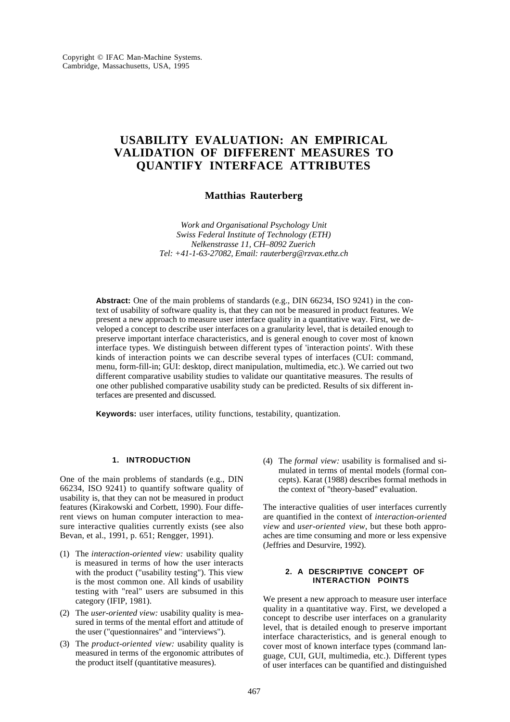# **USABILITY EVALUATION: AN EMPIRICAL VALIDATION OF DIFFERENT MEASURES TO QUANTIFY INTERFACE ATTRIBUTES**

# **Matthias Rauterberg**

*Work and Organisational Psychology Unit Swiss Federal Institute of Technology (ETH) Nelkenstrasse 11, CH–8092 Zuerich Tel: +41-1-63-27082, Email: rauterberg@rzvax.ethz.ch*

**Abstract:** One of the main problems of standards (e.g., DIN 66234, ISO 9241) in the context of usability of software quality is, that they can not be measured in product features. We present a new approach to measure user interface quality in a quantitative way. First, we developed a concept to describe user interfaces on a granularity level, that is detailed enough to preserve important interface characteristics, and is general enough to cover most of known interface types. We distinguish between different types of 'interaction points'. With these kinds of interaction points we can describe several types of interfaces (CUI: command, menu, form-fill-in; GUI: desktop, direct manipulation, multimedia, etc.). We carried out two different comparative usability studies to validate our quantitative measures. The results of one other published comparative usability study can be predicted. Results of six different interfaces are presented and discussed.

**Keywords:** user interfaces, utility functions, testability, quantization.

# **1. INTRODUCTION**

One of the main problems of standards (e.g., DIN 66234, ISO 9241) to quantify software quality of usability is, that they can not be measured in product features (Kirakowski and Corbett, 1990). Four different views on human computer interaction to measure interactive qualities currently exists (see also Bevan, et al., 1991, p. 651; Rengger, 1991).

- (1) The *interaction-oriented view:* usability quality is measured in terms of how the user interacts with the product ("usability testing"). This view is the most common one. All kinds of usability testing with "real" users are subsumed in this category (IFIP, 1981).
- (2) The *user-oriented view:* usability quality is measured in terms of the mental effort and attitude of the user ("questionnaires" and "interviews").
- (3) The *product-oriented view:* usability quality is measured in terms of the ergonomic attributes of the product itself (quantitative measures).

(4) The *formal view:* usability is formalised and simulated in terms of mental models (formal concepts). Karat (1988) describes formal methods in the context of "theory-based" evaluation.

The interactive qualities of user interfaces currently are quantified in the context of *interaction-oriented view* and *user-oriented view*, but these both approaches are time consuming and more or less expensive (Jeffries and Desurvire, 1992).

# **2. A DESCRIPTIVE CONCEPT OF INTERACTION POINTS**

We present a new approach to measure user interface quality in a quantitative way. First, we developed a concept to describe user interfaces on a granularity level, that is detailed enough to preserve important interface characteristics, and is general enough to cover most of known interface types (command language, CUI, GUI, multimedia, etc.). Different types of user interfaces can be quantified and distinguished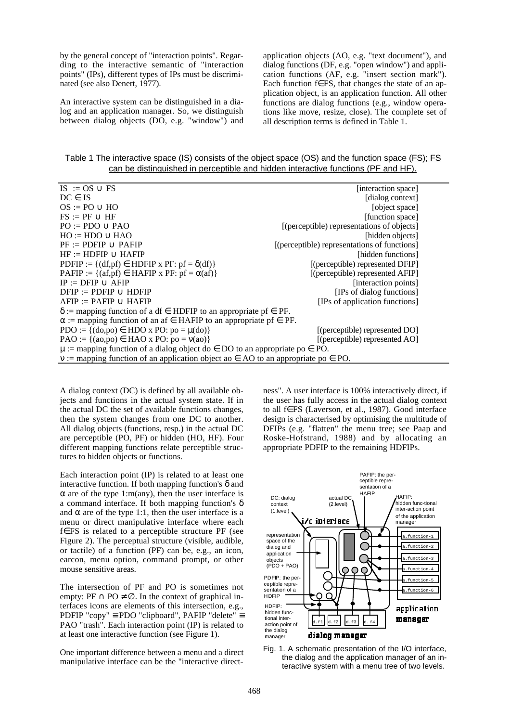by the general concept of "interaction points". Regarding to the interactive semantic of "interaction points" (IPs), different types of IPs must be discriminated (see also Denert, 1977).

An interactive system can be distinguished in a dialog and an application manager. So, we distinguish between dialog objects (DO, e.g. "window") and application objects (AO, e.g. "text document"), and dialog functions (DF, e.g. "open window") and application functions (AF, e.g. "insert section mark"). Each function f∈FS, that changes the state of an application object, is an application function. All other functions are dialog functions (e.g., window operations like move, resize, close). The complete set of all description terms is defined in Table 1.

Table 1 The interactive space (IS) consists of the object space (OS) and the function space (FS); FS can be distinguished in perceptible and hidden interactive functions (PF and HF).

| $IS := OS \cup FS$                                                                          | [interaction space]                          |
|---------------------------------------------------------------------------------------------|----------------------------------------------|
| $DC \in IS$                                                                                 | [dialog context]                             |
| $OS := PO \cup HO$                                                                          | [object space]                               |
| $FS := PF \cup HF$                                                                          | [function space]                             |
| $PO := PDO \cup PAO$                                                                        | [(perceptible) representations of objects]   |
| $HO := HDO \cup HAO$                                                                        | [hidden objects]                             |
| $PF := PDFIP \cup PAFIP$                                                                    | [(perceptible) representations of functions] |
| $HF := HDFIP \cup HAFIP$                                                                    | [hidden functions]                           |
| PDFIP := $\{(df, pf) \in HDFIP x PF: pf = \delta(df)\}\$                                    | [(perceptible) represented DFIP]             |
| PAFIP := { $(af, pf) \in HAFIP x PF: pf = \alpha(af)$ }                                     | [(perceptible) represented AFIP]             |
| $IP := DFTP \cup AFIP$                                                                      | [interaction points]                         |
| $DFIP := PDFIP \cup HDFIP$                                                                  | [IPs of dialog functions]                    |
| $AFIP := PAFIP \cup HAFIP$                                                                  | [IPs of application functions]               |
| $\delta$ := mapping function of a df $\epsilon$ HDFIP to an appropriate pf $\epsilon$ PF.   |                                              |
| $\alpha$ := mapping function of an af $\in$ HAFIP to an appropriate pf $\in$ PF.            |                                              |
| PDO := { $(do, po) \in HDO x PO: po = \mu(do)$ }                                            | [(perceptible) represented DO]               |
| $PAO := \{(ao, po) \in HAO \times PO: po = v(ao)\}\$                                        | [(perceptible) represented AO]               |
| $\mu$ := mapping function of a dialog object do $\in$ DO to an appropriate po $\in$ PO.     |                                              |
| $v :=$ mapping function of an application object ao $\in$ AO to an appropriate po $\in$ PO. |                                              |

A dialog context (DC) is defined by all available objects and functions in the actual system state. If in the actual DC the set of available functions changes, then the system changes from one DC to another. All dialog objects (functions, resp.) in the actual DC are perceptible (PO, PF) or hidden (HO, HF). Four different mapping functions relate perceptible structures to hidden objects or functions.

Each interaction point (IP) is related to at least one interactive function. If both mapping function's  $\delta$  and  $\alpha$  are of the type 1:m(any), then the user interface is a command interface. If both mapping function's  $\delta$ and  $\alpha$  are of the type 1:1, then the user interface is a menu or direct manipulative interface where each f∈FS is related to a perceptible structure PF (see Figure 2). The perceptual structure (visible, audible, or tactile) of a function (PF) can be, e.g., an icon, earcon, menu option, command prompt, or other mouse sensitive areas.

The intersection of PF and PO is sometimes not empty: PF  $\cap$  PO  $\neq \emptyset$ . In the context of graphical interfaces icons are elements of this intersection, e.g., PDFIP "copy" ≡ PDO "clipboard", PAFIP "delete" ≡ PAO "trash". Each interaction point (IP) is related to at least one interactive function (see Figure 1).

One important difference between a menu and a direct manipulative interface can be the "interactive directness". A user interface is 100% interactively direct, if the user has fully access in the actual dialog context to all f∈FS (Laverson, et al., 1987). Good interface design is characterised by optimising the multitude of DFIPs (e.g. "flatten" the menu tree; see Paap and Roske-Hofstrand, 1988) and by allocating an appropriate PDFIP to the remaining HDFIPs.



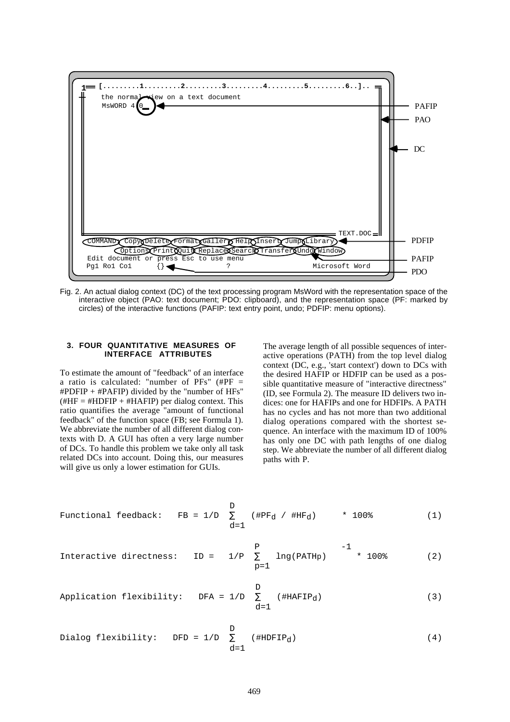

Fig. 2. An actual dialog context (DC) of the text processing program MsWord with the representation space of the interactive object (PAO: text document; PDO: clipboard), and the representation space (PF: marked by circles) of the interactive functions (PAFIP: text entry point, undo; PDFIP: menu options).

## **3. FOUR QUANTITATIVE MEASURES OF INTERFACE ATTRIBUTES**

To estimate the amount of "feedback" of an interface a ratio is calculated: "number of  $PFs''$  (# $PF =$  $\text{HPDFIP}$  +  $\text{HPAFIP}$ ) divided by the "number of HFs"  $(\text{HHF} = \text{HHDFIP} + \text{HHAFIP})$  per dialog context. This ratio quantifies the average "amount of functional feedback" of the function space (FB; see Formula 1). We abbreviate the number of all different dialog contexts with D. A GUI has often a very large number of DCs. To handle this problem we take only all task related DCs into account. Doing this, our measures will give us only a lower estimation for GUIs.

The average length of all possible sequences of interactive operations (PATH) from the top level dialog context (DC, e.g., 'start context') down to DCs with the desired HAFIP or HDFIP can be used as a possible quantitative measure of "interactive directness" (ID, see Formula 2). The measure ID delivers two indices: one for HAFIPs and one for HDFIPs. A PATH has no cycles and has not more than two additional dialog operations compared with the shortest sequence. An interface with the maximum ID of 100% has only one DC with path lengths of one dialog step. We abbreviate the number of all different dialog paths with P.

$$
\begin{array}{lll}\n\text{Functional feedback:} & \text{FB = 1/D} & \sum_{d=1}^{D} & (\text{HPF}_d / \text{HHF}_d) & \ast \text{ 100\%} \\
\end{array} \tag{1}
$$

$$
\text{Intercities:} \quad \text{ID} = \left\{ \begin{array}{c} p \\ 1/P & \sum_{p=1}^{P} \text{ lng(PATHp)} \end{array} \right\} \quad \text{-1} \quad \text{+} \quad 100\text{*} \quad \text{(2)}
$$

Application flexibility: DFA = 
$$
1/D
$$
  $\sum_{d=1}^{D}$  (#HAFIP<sub>d</sub>) (3)

Dialog flexibility: DFD = 
$$
1/D
$$

\n
$$
\sum_{d=1}^{D} (\#HDFIP_d)
$$
\n(4)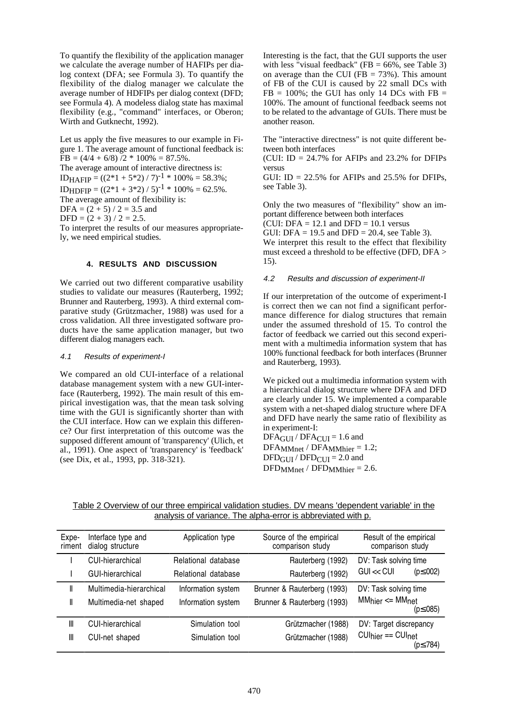To quantify the flexibility of the application manager we calculate the average number of HAFIPs per dialog context (DFA; see Formula 3). To quantify the flexibility of the dialog manager we calculate the average number of HDFIPs per dialog context (DFD; see Formula 4). A modeless dialog state has maximal flexibility (e.g., "command" interfaces, or Oberon; Wirth and Gutknecht, 1992).

Let us apply the five measures to our example in Figure 1. The average amount of functional feedback is:  $FB = (4/4 + 6/8)$  /2 \* 100% = 87.5%. The average amount of interactive directness is: IDHAFIP =  $((2*1 + 5*2) / 7)^{-1} * 100\% = 58.3\%;$ IDHDFIP =  $((2*1 + 3*2) / 5)^{-1} * 100\% = 62.5\%$ . The average amount of flexibility is:  $DFA = (2 + 5) / 2 = 3.5$  and  $DFD = (2 + 3) / 2 = 2.5.$ 

To interpret the results of our measures appropriately, we need empirical studies.

## **4. RESULTS AND DISCUSSION**

We carried out two different comparative usability studies to validate our measures (Rauterberg, 1992; Brunner and Rauterberg, 1993). A third external comparative study (Grützmacher, 1988) was used for a cross validation. All three investigated software products have the same application manager, but two different dialog managers each.

#### 4.1 Results of experiment-I

We compared an old CUI-interface of a relational database management system with a new GUI-interface (Rauterberg, 1992). The main result of this empirical investigation was, that the mean task solving time with the GUI is significantly shorter than with the CUI interface. How can we explain this difference? Our first interpretation of this outcome was the supposed different amount of 'transparency' (Ulich, et al., 1991). One aspect of 'transparency' is 'feedback' (see Dix, et al., 1993, pp. 318-321).

Interesting is the fact, that the GUI supports the user with less "visual feedback" (FB =  $66\%$ , see Table 3) on average than the CUI (FB  $= 73\%$ ). This amount of FB of the CUI is caused by 22 small DCs with  $FB = 100\%$ ; the GUI has only 14 DCs with  $FB =$ 100%. The amount of functional feedback seems not to be related to the advantage of GUIs. There must be another reason.

The "interactive directness" is not quite different between both interfaces

(CUI: ID =  $24.7\%$  for AFIPs and  $23.2\%$  for DFIPs versus

GUI:  $ID = 22.5\%$  for AFIPs and 25.5% for DFIPs, see Table 3).

Only the two measures of "flexibility" show an important difference between both interfaces

(CUI: DFA =  $12.1$  and DFD =  $10.1$  versus GUI: DFA = 19.5 and DFD = 20.4, see Table 3). We interpret this result to the effect that flexibility must exceed a threshold to be effective (DFD, DFA > 15).

## 4.2 Results and discussion of experiment-II

If our interpretation of the outcome of experiment-I is correct then we can not find a significant performance difference for dialog structures that remain under the assumed threshold of 15. To control the factor of feedback we carried out this second experiment with a multimedia information system that has 100% functional feedback for both interfaces (Brunner and Rauterberg, 1993).

We picked out a multimedia information system with a hierarchical dialog structure where DFA and DFD are clearly under 15. We implemented a comparable system with a net-shaped dialog structure where DFA and DFD have nearly the same ratio of flexibility as in experiment-I:

DFAGUI / DFACUI = 1.6 and DFAMMnet / DFAMMhier = 1.2;  $DFD<sub>GUI</sub> / DFD<sub>CUI</sub> = 2.0$  and  $DFD<sub>MMnet</sub> / DFD<sub>MMhier</sub> = 2.6.$ 

Table 2 Overview of our three empirical validation studies. DV means 'dependent variable' in the analysis of variance. The alpha-error is abbreviated with p.

| Expe-<br>riment | Interface type and<br>dialog structure | Application type    | Source of the empirical<br>comparison study | Result of the empirical<br>comparison study |  |  |
|-----------------|----------------------------------------|---------------------|---------------------------------------------|---------------------------------------------|--|--|
|                 | CUI-hierarchical                       | Relational database | Rauterberg (1992)                           | DV: Task solving time                       |  |  |
|                 | GUI-hierarchical                       | Relational database | Rauterberg (1992)                           | $GU \ll CUI$<br>$(p \le .002)$              |  |  |
| II              | Multimedia-hierarchical                | Information system  | Brunner & Rauterberg (1993)                 | DV: Task solving time                       |  |  |
| Ш               | Multimedia-net shaped                  | Information system  | Brunner & Rauterberg (1993)                 | $MMhier \le MMnet$<br>(p≤.085)              |  |  |
| Ш               | CUI-hierarchical                       | Simulation tool     | Grützmacher (1988)                          | DV: Target discrepancy                      |  |  |
| Ш               | CUI-net shaped                         | Simulation tool     | Grützmacher (1988)                          | $CUhier == CUnet$<br>(p≤.784)               |  |  |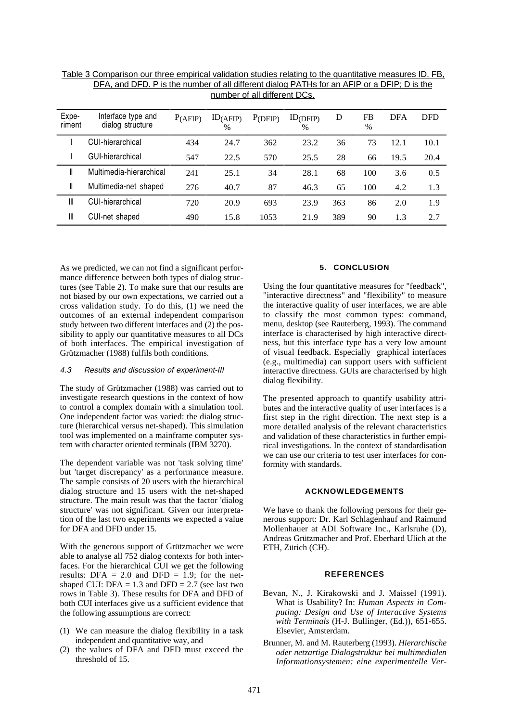| Expe-<br>riment | Interface type and<br>dialog structure | $P_{(AFIP)}$ | $ID_{(AFIP)}$<br>$\%$ | P(DFIP) | $ID_{(DFIP)}$<br>$\%$ | D   | FB<br>$\%$ | <b>DFA</b> | <b>DFD</b> |
|-----------------|----------------------------------------|--------------|-----------------------|---------|-----------------------|-----|------------|------------|------------|
|                 | CUI-hierarchical                       | 434          | 24.7                  | 362     | 23.2                  | 36  | 73         | 12.1       | 10.1       |
|                 | GUI-hierarchical                       | 547          | 22.5                  | 570     | 25.5                  | 28  | 66         | 19.5       | 20.4       |
| Ш               | Multimedia-hierarchical                | 241          | 25.1                  | 34      | 28.1                  | 68  | 100        | 3.6        | 0.5        |
| Ш               | Multimedia-net shaped                  | 276          | 40.7                  | 87      | 46.3                  | 65  | 100        | 4.2        | 1.3        |
| Ш               | CUI-hierarchical                       | 720          | 20.9                  | 693     | 23.9                  | 363 | 86         | 2.0        | 1.9        |
| Ш               | CUI-net shaped                         | 490          | 15.8                  | 1053    | 21.9                  | 389 | 90         | 1.3        | 2.7        |

Table 3 Comparison our three empirical validation studies relating to the quantitative measures ID, FB, DFA, and DFD. P is the number of all different dialog PATHs for an AFIP or a DFIP; D is the number of all different DCs.

As we predicted, we can not find a significant performance difference between both types of dialog structures (see Table 2). To make sure that our results are not biased by our own expectations, we carried out a cross validation study. To do this, (1) we need the outcomes of an external independent comparison study between two different interfaces and (2) the possibility to apply our quantitative measures to all DCs of both interfaces. The empirical investigation of Grützmacher (1988) fulfils both conditions.

## 4.3 Results and discussion of experiment-III

The study of Grützmacher (1988) was carried out to investigate research questions in the context of how to control a complex domain with a simulation tool. One independent factor was varied: the dialog structure (hierarchical versus net-shaped). This simulation tool was implemented on a mainframe computer system with character oriented terminals (IBM 3270).

The dependent variable was not 'task solving time' but 'target discrepancy' as a performance measure. The sample consists of 20 users with the hierarchical dialog structure and 15 users with the net-shaped structure. The main result was that the factor 'dialog structure' was not significant. Given our interpretation of the last two experiments we expected a value for DFA and DFD under 15.

With the generous support of Grützmacher we were able to analyse all 752 dialog contexts for both interfaces. For the hierarchical CUI we get the following results: DFA  $= 2.0$  and DFD  $= 1.9$ ; for the netshaped CUI: DFA =  $1.3$  and DFD =  $2.7$  (see last two rows in Table 3). These results for DFA and DFD of both CUI interfaces give us a sufficient evidence that the following assumptions are correct:

- (1) We can measure the dialog flexibility in a task independent and quantitative way, and
- (2) the values of DFA and DFD must exceed the threshold of 15.

## **5. CONCLUSION**

Using the four quantitative measures for "feedback", "interactive directness" and "flexibility" to measure the interactive quality of user interfaces, we are able to classify the most common types: command, menu, desktop (see Rauterberg, 1993). The command interface is characterised by high interactive directness, but this interface type has a very low amount of visual feedback. Especially graphical interfaces (e.g., multimedia) can support users with sufficient interactive directness. GUIs are characterised by high dialog flexibility.

The presented approach to quantify usability attributes and the interactive quality of user interfaces is a first step in the right direction. The next step is a more detailed analysis of the relevant characteristics and validation of these characteristics in further empirical investigations. In the context of standardisation we can use our criteria to test user interfaces for conformity with standards.

### **ACKNOWLEDGEMENTS**

We have to thank the following persons for their generous support: Dr. Karl Schlagenhauf and Raimund Mollenhauer at ADI Software Inc., Karlsruhe (D), Andreas Grützmacher and Prof. Eberhard Ulich at the ETH, Zürich (CH).

#### **REFERENCES**

- Bevan, N., J. Kirakowski and J. Maissel (1991). What is Usability? In: *Human Aspects in Computing: Design and Use of Interactive Systems with Terminals* (H-J. Bullinger, (Ed.)), 651-655. Elsevier, Amsterdam.
- Brunner, M. and M. Rauterberg (1993). *Hierarchische oder netzartige Dialogstruktur bei multimedialen Informationsystemen: eine experimentelle Ver-*